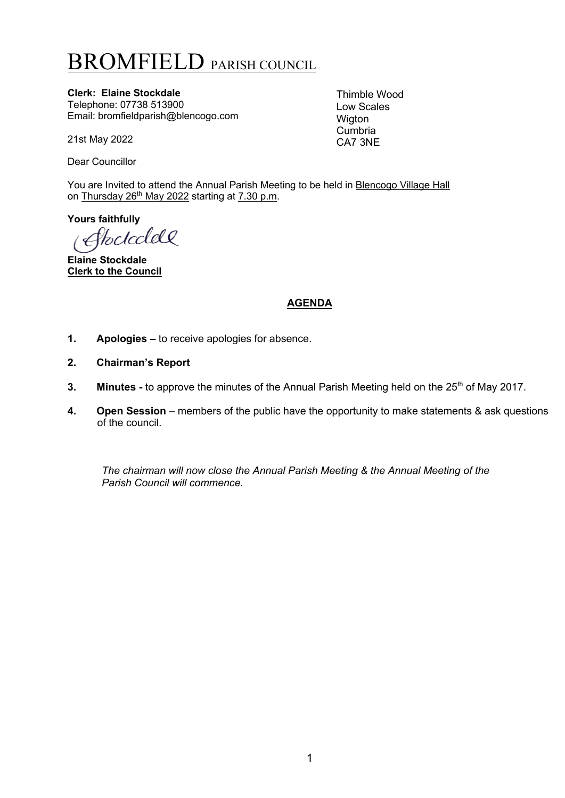# BROMFIELD PARISH COUNCIL

**Clerk: Elaine Stockdale** Telephone: 07738 513900 Email: bromfieldparish@blencogo.com

21st May 2022

Dear Councillor

You are Invited to attend the Annual Parish Meeting to be held in **Blencogo Village Hall** on Thursday 26<sup>th</sup> May 2022 starting at 7.30 p.m.

**Yours faithfully**

<u> fkc/ccldQ</u>

**Elaine Stockdale Clerk to the Council**

## **AGENDA**

Thimble Wood Low Scales Wigton Cumbria CA7 3NE

- **1. Apologies –** to receive apologies for absence.
- **2. Chairman's Report**
- **3.** Minutes to approve the minutes of the Annual Parish Meeting held on the 25<sup>th</sup> of May 2017.
- **4. Open Session** members of the public have the opportunity to make statements & ask questions of the council.

*The chairman will now close the Annual Parish Meeting & the Annual Meeting of the Parish Council will commence.*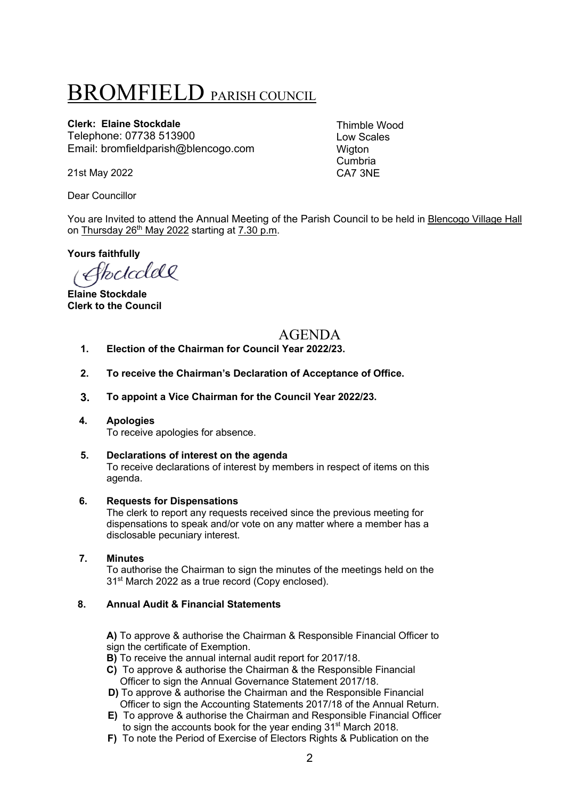# BROMFIELD PARISH COUNCIL

### **Clerk: Elaine Stockdale**

Telephone: 07738 513900 Email: bromfieldparish@blencogo.com

Thimble Wood Low Scales **Wigton** Cumbria CA7 3NE

21st May 2022

Dear Councillor

You are Invited to attend the Annual Meeting of the Parish Council to be held in Blencogo Village Hall on Thursday  $26<sup>th</sup>$  May 2022 starting at 7.30 p.m.

**Yours faithfully**

Stockclell

**Elaine Stockdale Clerk to the Council**

## AGENDA

- **1. Election of the Chairman for Council Year 2022/23.**
- **2. To receive the Chairman's Declaration of Acceptance of Office.**
- **3. To appoint a Vice Chairman for the Council Year 2022/23.**
- **4. Apologies** To receive apologies for absence.

## **5. Declarations of interest on the agenda**

To receive declarations of interest by members in respect of items on this agenda.

#### **6. Requests for Dispensations**

The clerk to report any requests received since the previous meeting for dispensations to speak and/or vote on any matter where a member has a disclosable pecuniary interest.

#### **7. Minutes**

To authorise the Chairman to sign the minutes of the meetings held on the 31<sup>st</sup> March 2022 as a true record (Copy enclosed).

#### **8. Annual Audit & Financial Statements**

**A)** To approve & authorise the Chairman & Responsible Financial Officer to sign the certificate of Exemption.

**B)** To receive the annual internal audit report for 2017/18.

- **C)** To approve & authorise the Chairman & the Responsible Financial Officer to sign the Annual Governance Statement 2017/18.
- **D)** To approve & authorise the Chairman and the Responsible Financial Officer to sign the Accounting Statements 2017/18 of the Annual Return.
- **E)** To approve & authorise the Chairman and Responsible Financial Officer to sign the accounts book for the year ending 31<sup>st</sup> March 2018.
- **F)** To note the Period of Exercise of Electors Rights & Publication on the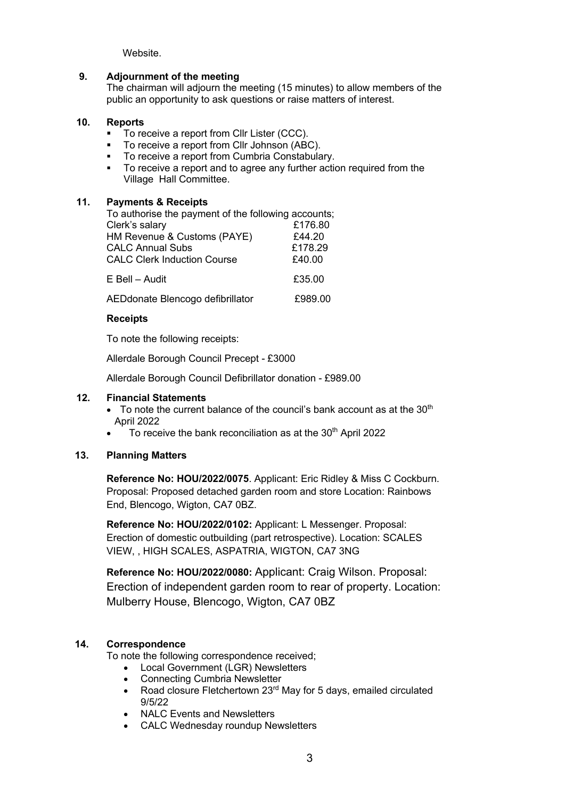Website.

#### **9. Adjournment of the meeting**

The chairman will adjourn the meeting (15 minutes) to allow members of the public an opportunity to ask questions or raise matters of interest.

#### **10. Reports**

- To receive a report from Cllr Lister (CCC).
- § To receive a report from Cllr Johnson (ABC).
- To receive a report from Cumbria Constabulary.
- § To receive a report and to agree any further action required from the Village Hall Committee.

#### **11. Payments & Receipts**

| To authorise the payment of the following accounts; |         |
|-----------------------------------------------------|---------|
| Clerk's salary                                      | £176.80 |
| HM Revenue & Customs (PAYE)                         | £44.20  |
| <b>CALC Annual Subs</b>                             | £178.29 |
| <b>CALC Clerk Induction Course</b>                  | £40.00  |
| E Bell - Audit                                      | £35.00  |
| AEDdonate Blencogo defibrillator                    | £989.00 |

#### **Receipts**

To note the following receipts:

Allerdale Borough Council Precept - £3000

Allerdale Borough Council Defibrillator donation - £989.00

#### **12. Financial Statements**

- To note the current balance of the council's bank account as at the  $30<sup>th</sup>$ April 2022
- To receive the bank reconciliation as at the 30<sup>th</sup> April 2022

#### **13. Planning Matters**

**Reference No: HOU/2022/0075**. Applicant: Eric Ridley & Miss C Cockburn. Proposal: Proposed detached garden room and store Location: Rainbows End, Blencogo, Wigton, CA7 0BZ.

**Reference No: HOU/2022/0102:** Applicant: L Messenger. Proposal: Erection of domestic outbuilding (part retrospective). Location: SCALES VIEW, , HIGH SCALES, ASPATRIA, WIGTON, CA7 3NG

**Reference No: HOU/2022/0080:** Applicant: Craig Wilson. Proposal: Erection of independent garden room to rear of property. Location: Mulberry House, Blencogo, Wigton, CA7 0BZ

#### **14. Correspondence**

To note the following correspondence received;

- Local Government (LGR) Newsletters
- Connecting Cumbria Newsletter
- Road closure Fletchertown 23<sup>rd</sup> May for 5 days, emailed circulated 9/5/22
- NALC Events and Newsletters
- CALC Wednesday roundup Newsletters